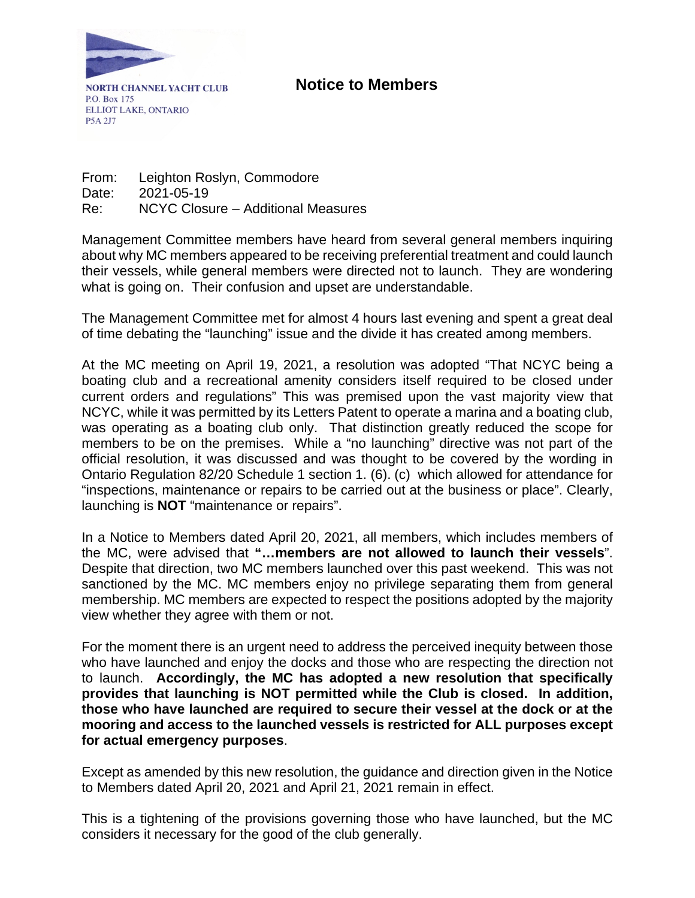

**NORTH CHANNEL YACHT CLUB** P.O. Box 175 ELLIOT LAKE, ONTARIO P5A 2J7

From: Leighton Roslyn, Commodore Date: 2021-05-19 Re: NCYC Closure – Additional Measures

Management Committee members have heard from several general members inquiring about why MC members appeared to be receiving preferential treatment and could launch their vessels, while general members were directed not to launch. They are wondering what is going on. Their confusion and upset are understandable.

The Management Committee met for almost 4 hours last evening and spent a great deal of time debating the "launching" issue and the divide it has created among members.

At the MC meeting on April 19, 2021, a resolution was adopted "That NCYC being a boating club and a recreational amenity considers itself required to be closed under current orders and regulations" This was premised upon the vast majority view that NCYC, while it was permitted by its Letters Patent to operate a marina and a boating club, was operating as a boating club only. That distinction greatly reduced the scope for members to be on the premises. While a "no launching" directive was not part of the official resolution, it was discussed and was thought to be covered by the wording in Ontario Regulation 82/20 Schedule 1 section 1. (6). (c) which allowed for attendance for "inspections, maintenance or repairs to be carried out at the business or place". Clearly, launching is **NOT** "maintenance or repairs".

In a Notice to Members dated April 20, 2021, all members, which includes members of the MC, were advised that **"…members are not allowed to launch their vessels**". Despite that direction, two MC members launched over this past weekend. This was not sanctioned by the MC. MC members enjoy no privilege separating them from general membership. MC members are expected to respect the positions adopted by the majority view whether they agree with them or not.

For the moment there is an urgent need to address the perceived inequity between those who have launched and enjoy the docks and those who are respecting the direction not to launch. **Accordingly, the MC has adopted a new resolution that specifically provides that launching is NOT permitted while the Club is closed. In addition, those who have launched are required to secure their vessel at the dock or at the mooring and access to the launched vessels is restricted for ALL purposes except for actual emergency purposes**.

Except as amended by this new resolution, the guidance and direction given in the Notice to Members dated April 20, 2021 and April 21, 2021 remain in effect.

This is a tightening of the provisions governing those who have launched, but the MC considers it necessary for the good of the club generally.